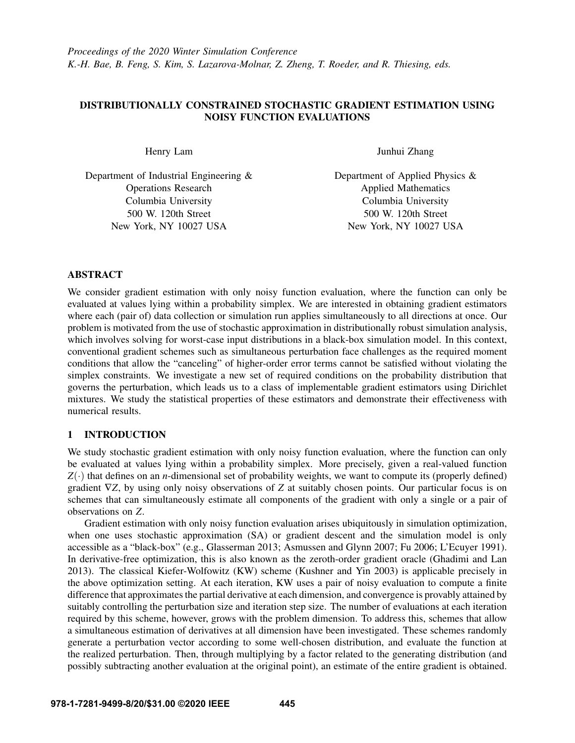# DISTRIBUTIONALLY CONSTRAINED STOCHASTIC GRADIENT ESTIMATION USING NOISY FUNCTION EVALUATIONS

Henry Lam

Department of Industrial Engineering & Operations Research Columbia University 500 W. 120th Street New York, NY 10027 USA

Junhui Zhang

Department of Applied Physics & Applied Mathematics Columbia University 500 W. 120th Street New York, NY 10027 USA

# ABSTRACT

We consider gradient estimation with only noisy function evaluation, where the function can only be evaluated at values lying within a probability simplex. We are interested in obtaining gradient estimators where each (pair of) data collection or simulation run applies simultaneously to all directions at once. Our problem is motivated from the use of stochastic approximation in distributionally robust simulation analysis, which involves solving for worst-case input distributions in a black-box simulation model. In this context, conventional gradient schemes such as simultaneous perturbation face challenges as the required moment conditions that allow the "canceling" of higher-order error terms cannot be satisfied without violating the simplex constraints. We investigate a new set of required conditions on the probability distribution that governs the perturbation, which leads us to a class of implementable gradient estimators using Dirichlet mixtures. We study the statistical properties of these estimators and demonstrate their effectiveness with numerical results.

# 1 INTRODUCTION

We study stochastic gradient estimation with only noisy function evaluation, where the function can only be evaluated at values lying within a probability simplex. More precisely, given a real-valued function  $Z(\cdot)$  that defines on an *n*-dimensional set of probability weights, we want to compute its (properly defined) gradient ∇*Z*, by using only noisy observations of *Z* at suitably chosen points. Our particular focus is on schemes that can simultaneously estimate all components of the gradient with only a single or a pair of observations on *Z*.

Gradient estimation with only noisy function evaluation arises ubiquitously in simulation optimization, when one uses stochastic approximation (SA) or gradient descent and the simulation model is only accessible as a "black-box" (e.g., [Glasserman 2013;](#page-11-0) [Asmussen and Glynn 2007;](#page-11-1) [Fu 2006;](#page-11-2) [L'Ecuyer 1991\)](#page-11-3). In derivative-free optimization, this is also known as the zeroth-order gradient oracle [\(Ghadimi and Lan](#page-11-4) [2013\)](#page-11-4). The classical Kiefer-Wolfowitz (KW) scheme [\(Kushner and Yin 2003\)](#page-11-5) is applicable precisely in the above optimization setting. At each iteration, KW uses a pair of noisy evaluation to compute a finite difference that approximates the partial derivative at each dimension, and convergence is provably attained by suitably controlling the perturbation size and iteration step size. The number of evaluations at each iteration required by this scheme, however, grows with the problem dimension. To address this, schemes that allow a simultaneous estimation of derivatives at all dimension have been investigated. These schemes randomly generate a perturbation vector according to some well-chosen distribution, and evaluate the function at the realized perturbation. Then, through multiplying by a factor related to the generating distribution (and possibly subtracting another evaluation at the original point), an estimate of the entire gradient is obtained.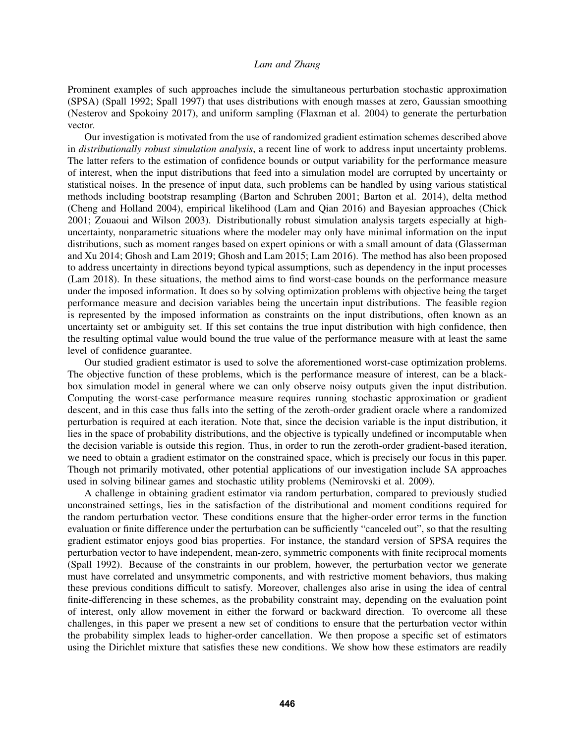Prominent examples of such approaches include the simultaneous perturbation stochastic approximation (SPSA) [\(Spall 1992;](#page-11-6) [Spall 1997\)](#page-11-7) that uses distributions with enough masses at zero, Gaussian smoothing [\(Nesterov and Spokoiny 2017\)](#page-11-8), and uniform sampling [\(Flaxman et al. 2004\)](#page-11-9) to generate the perturbation vector.

Our investigation is motivated from the use of randomized gradient estimation schemes described above in *distributionally robust simulation analysis*, a recent line of work to address input uncertainty problems. The latter refers to the estimation of confidence bounds or output variability for the performance measure of interest, when the input distributions that feed into a simulation model are corrupted by uncertainty or statistical noises. In the presence of input data, such problems can be handled by using various statistical methods including bootstrap resampling [\(Barton and Schruben 2001;](#page-11-10) [Barton et al. 2014\)](#page-11-11), delta method [\(Cheng and Holland 2004\)](#page-11-12), empirical likelihood [\(Lam and Qian 2016\)](#page-11-13) and Bayesian approaches [\(Chick](#page-11-14) [2001;](#page-11-14) [Zouaoui and Wilson 2003\)](#page-11-15). Distributionally robust simulation analysis targets especially at highuncertainty, nonparametric situations where the modeler may only have minimal information on the input distributions, such as moment ranges based on expert opinions or with a small amount of data [\(Glasserman](#page-11-16) [and Xu 2014;](#page-11-16) [Ghosh and Lam 2019;](#page-11-17) [Ghosh and Lam 2015;](#page-11-18) [Lam 2016\)](#page-11-19). The method has also been proposed to address uncertainty in directions beyond typical assumptions, such as dependency in the input processes [\(Lam 2018\)](#page-11-20). In these situations, the method aims to find worst-case bounds on the performance measure under the imposed information. It does so by solving optimization problems with objective being the target performance measure and decision variables being the uncertain input distributions. The feasible region is represented by the imposed information as constraints on the input distributions, often known as an uncertainty set or ambiguity set. If this set contains the true input distribution with high confidence, then the resulting optimal value would bound the true value of the performance measure with at least the same level of confidence guarantee.

Our studied gradient estimator is used to solve the aforementioned worst-case optimization problems. The objective function of these problems, which is the performance measure of interest, can be a blackbox simulation model in general where we can only observe noisy outputs given the input distribution. Computing the worst-case performance measure requires running stochastic approximation or gradient descent, and in this case thus falls into the setting of the zeroth-order gradient oracle where a randomized perturbation is required at each iteration. Note that, since the decision variable is the input distribution, it lies in the space of probability distributions, and the objective is typically undefined or incomputable when the decision variable is outside this region. Thus, in order to run the zeroth-order gradient-based iteration, we need to obtain a gradient estimator on the constrained space, which is precisely our focus in this paper. Though not primarily motivated, other potential applications of our investigation include SA approaches used in solving bilinear games and stochastic utility problems [\(Nemirovski et al. 2009\)](#page-11-21).

A challenge in obtaining gradient estimator via random perturbation, compared to previously studied unconstrained settings, lies in the satisfaction of the distributional and moment conditions required for the random perturbation vector. These conditions ensure that the higher-order error terms in the function evaluation or finite difference under the perturbation can be sufficiently "canceled out", so that the resulting gradient estimator enjoys good bias properties. For instance, the standard version of SPSA requires the perturbation vector to have independent, mean-zero, symmetric components with finite reciprocal moments [\(Spall 1992\)](#page-11-6). Because of the constraints in our problem, however, the perturbation vector we generate must have correlated and unsymmetric components, and with restrictive moment behaviors, thus making these previous conditions difficult to satisfy. Moreover, challenges also arise in using the idea of central finite-differencing in these schemes, as the probability constraint may, depending on the evaluation point of interest, only allow movement in either the forward or backward direction. To overcome all these challenges, in this paper we present a new set of conditions to ensure that the perturbation vector within the probability simplex leads to higher-order cancellation. We then propose a specific set of estimators using the Dirichlet mixture that satisfies these new conditions. We show how these estimators are readily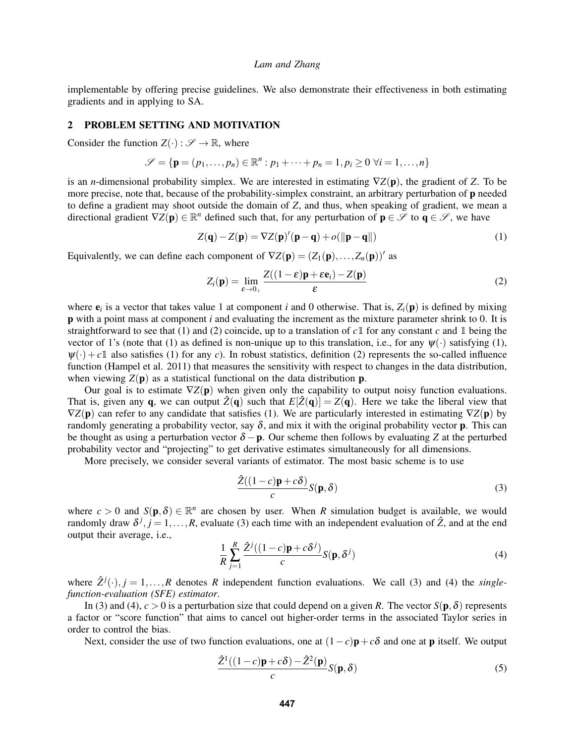implementable by offering precise guidelines. We also demonstrate their effectiveness in both estimating gradients and in applying to SA.

# <span id="page-2-5"></span>2 PROBLEM SETTING AND MOTIVATION

Consider the function  $Z(\cdot): \mathscr{S} \to \mathbb{R}$ , where

$$
\mathscr{S} = \{ \mathbf{p} = (p_1, \dots, p_n) \in \mathbb{R}^n : p_1 + \dots + p_n = 1, p_i \ge 0 \ \forall i = 1, \dots, n \}
$$

is an *n*-dimensional probability simplex. We are interested in estimating ∇*Z*(p), the gradient of *Z*. To be more precise, note that, because of the probability-simplex constraint, an arbitrary perturbation of **p** needed to define a gradient may shoot outside the domain of *Z*, and thus, when speaking of gradient, we mean a directional gradient  $\nabla Z(\mathbf{p}) \in \mathbb{R}^n$  defined such that, for any perturbation of  $\mathbf{p} \in \mathscr{S}$  to  $\mathbf{q} \in \mathscr{S}$ , we have

<span id="page-2-0"></span>
$$
Z(\mathbf{q}) - Z(\mathbf{p}) = \nabla Z(\mathbf{p})'(\mathbf{p} - \mathbf{q}) + o(||\mathbf{p} - \mathbf{q}||)
$$
\n(1)

Equivalently, we can define each component of  $\nabla Z(\mathbf{p}) = (Z_1(\mathbf{p}), \dots, Z_n(\mathbf{p}))'$  as

<span id="page-2-1"></span>
$$
Z_i(\mathbf{p}) = \lim_{\varepsilon \to 0_+} \frac{Z((1-\varepsilon)\mathbf{p} + \varepsilon \mathbf{e}_i) - Z(\mathbf{p})}{\varepsilon}
$$
(2)

where  $e_i$  is a vector that takes value 1 at component *i* and 0 otherwise. That is,  $Z_i(\mathbf{p})$  is defined by mixing p with a point mass at component *i* and evaluating the increment as the mixture parameter shrink to 0. It is straightforward to see that [\(1\)](#page-2-0) and [\(2\)](#page-2-1) coincide, up to a translation of  $c1$  for any constant  $c$  and 1 being the vector of 1's (note that [\(1\)](#page-2-0) as defined is non-unique up to this translation, i.e., for any  $\psi(\cdot)$  satisfying (1),  $\psi(\cdot) + c\mathbb{1}$  also satisfies [\(1\)](#page-2-0) for any *c*). In robust statistics, definition [\(2\)](#page-2-1) represents the so-called influence function [\(Hampel et al. 2011\)](#page-11-22) that measures the sensitivity with respect to changes in the data distribution, when viewing  $Z(\mathbf{p})$  as a statistical functional on the data distribution **p**.

Our goal is to estimate  $\nabla Z(\mathbf{p})$  when given only the capability to output noisy function evaluations. That is, given any **q**, we can output  $\hat{Z}(\mathbf{q})$  such that  $E[\hat{Z}(\mathbf{q})] = Z(\mathbf{q})$ . Here we take the liberal view that ∇*Z*(p) can refer to any candidate that satisfies [\(1\)](#page-2-0). We are particularly interested in estimating ∇*Z*(p) by randomly generating a probability vector, say  $\delta$ , and mix it with the original probability vector **p**. This can be thought as using a perturbation vector  $\delta - p$ . Our scheme then follows by evaluating *Z* at the perturbed probability vector and "projecting" to get derivative estimates simultaneously for all dimensions.

More precisely, we consider several variants of estimator. The most basic scheme is to use

<span id="page-2-2"></span>
$$
\frac{\hat{Z}((1-c)\mathbf{p}+c\delta)}{c}S(\mathbf{p},\delta)
$$
\n(3)

where  $c > 0$  and  $S(\mathbf{p}, \delta) \in \mathbb{R}^n$  are chosen by user. When *R* simulation budget is available, we would randomly draw  $\delta^{j}$ ,  $j = 1, ..., R$ , evaluate [\(3\)](#page-2-2) each time with an independent evaluation of  $\hat{Z}$ , and at the end output their average, i.e.,

<span id="page-2-3"></span>
$$
\frac{1}{R} \sum_{j=1}^{R} \frac{\hat{Z}^j((1-c)\mathbf{p} + c\delta^j)}{c} S(\mathbf{p}, \delta^j)
$$
(4)

where  $\hat{Z}^{j}(\cdot), j = 1, \ldots, R$  denotes R independent function evaluations. We call [\(3\)](#page-2-2) and [\(4\)](#page-2-3) the *singlefunction-evaluation (SFE) estimator*.

In [\(3\)](#page-2-2) and [\(4\)](#page-2-3),  $c > 0$  is a perturbation size that could depend on a given *R*. The vector  $S(\mathbf{p}, \delta)$  represents a factor or "score function" that aims to cancel out higher-order terms in the associated Taylor series in order to control the bias.

Next, consider the use of two function evaluations, one at  $(1-c)\mathbf{p}+c\delta$  and one at **p** itself. We output

<span id="page-2-4"></span>
$$
\frac{\hat{Z}^1((1-c)\mathbf{p}+c\delta)-\hat{Z}^2(\mathbf{p})}{c}S(\mathbf{p},\delta)
$$
\n(5)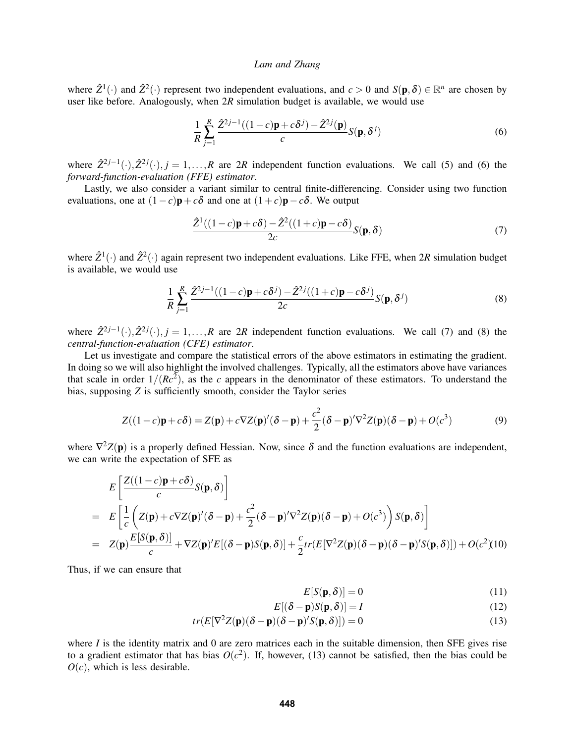where  $\hat{Z}^1(\cdot)$  and  $\hat{Z}^2(\cdot)$  represent two independent evaluations, and  $c > 0$  and  $S(\mathbf{p}, \delta) \in \mathbb{R}^n$  are chosen by user like before. Analogously, when 2*R* simulation budget is available, we would use

<span id="page-3-0"></span>
$$
\frac{1}{R} \sum_{j=1}^{R} \frac{\hat{Z}^{2j-1}((1-c)\mathbf{p} + c\delta^j) - \hat{Z}^{2j}(\mathbf{p})}{c} S(\mathbf{p}, \delta^j)
$$
(6)

where  $\hat{Z}^{2j-1}(\cdot), \hat{Z}^{2j}(\cdot), j = 1, ..., R$  are 2*R* independent function evaluations. We call [\(5\)](#page-2-4) and [\(6\)](#page-3-0) the *forward-function-evaluation (FFE) estimator*.

Lastly, we also consider a variant similar to central finite-differencing. Consider using two function evaluations, one at  $(1-c)\mathbf{p}+c\delta$  and one at  $(1+c)\mathbf{p}-c\delta$ . We output

<span id="page-3-1"></span>
$$
\frac{\hat{Z}^1((1-c)\mathbf{p}+c\delta)-\hat{Z}^2((1+c)\mathbf{p}-c\delta)}{2c}S(\mathbf{p},\delta)
$$
\n(7)

where  $\hat{Z}^1(\cdot)$  and  $\hat{Z}^2(\cdot)$  again represent two independent evaluations. Like FFE, when 2*R* simulation budget is available, we would use

<span id="page-3-2"></span>
$$
\frac{1}{R}\sum_{j=1}^{R}\frac{\hat{Z}^{2j-1}((1-c)\mathbf{p}+c\delta^{j})-\hat{Z}^{2j}((1+c)\mathbf{p}-c\delta^{j})}{2c}S(\mathbf{p},\delta^{j})
$$
\n(8)

where  $\hat{Z}^{2j-1}(\cdot), \hat{Z}^{2j}(\cdot), j = 1, \ldots, R$  are 2*R* independent function evaluations. We call [\(7\)](#page-3-1) and [\(8\)](#page-3-2) the *central-function-evaluation (CFE) estimator*.

Let us investigate and compare the statistical errors of the above estimators in estimating the gradient. In doing so we will also highlight the involved challenges. Typically, all the estimators above have variances that scale in order  $1/(Rc^2)$ , as the *c* appears in the denominator of these estimators. To understand the bias, supposing *Z* is sufficiently smooth, consider the Taylor series

<span id="page-3-5"></span>
$$
Z((1-c)\mathbf{p}+c\delta) = Z(\mathbf{p}) + c\nabla Z(\mathbf{p})'(\delta-\mathbf{p}) + \frac{c^2}{2}(\delta-\mathbf{p})'\nabla^2 Z(\mathbf{p})(\delta-\mathbf{p}) + O(c^3)
$$
(9)

where  $\nabla^2 Z(\mathbf{p})$  is a properly defined Hessian. Now, since  $\delta$  and the function evaluations are independent, we can write the expectation of SFE as

<span id="page-3-4"></span>
$$
E\left[\frac{Z((1-c)\mathbf{p}+c\delta)}{c}S(\mathbf{p},\delta)\right]
$$
  
=  $E\left[\frac{1}{c}\left(Z(\mathbf{p})+c\nabla Z(\mathbf{p})'(\delta-\mathbf{p})+\frac{c^2}{2}(\delta-\mathbf{p})'\nabla^2 Z(\mathbf{p})(\delta-\mathbf{p})+O(c^3)\right)S(\mathbf{p},\delta)\right]$   
=  $Z(\mathbf{p})\frac{E[S(\mathbf{p},\delta)]}{c}+\nabla Z(\mathbf{p})'E[(\delta-\mathbf{p})S(\mathbf{p},\delta)]+\frac{c}{2}tr(E[\nabla^2 Z(\mathbf{p})(\delta-\mathbf{p})(\delta-\mathbf{p})'S(\mathbf{p},\delta)])+O(c^2)(10)$ 

Thus, if we can ensure that

<span id="page-3-3"></span>
$$
E[S(\mathbf{p}, \delta)] = 0 \tag{11}
$$

$$
E[(\delta - \mathbf{p})S(\mathbf{p}, \delta)] = I \tag{12}
$$

$$
tr(E[\nabla^2 Z(\mathbf{p})(\delta - \mathbf{p})(\delta - \mathbf{p})'S(\mathbf{p}, \delta)]) = 0
$$
\n(13)

where  $I$  is the identity matrix and 0 are zero matrices each in the suitable dimension, then SFE gives rise to a gradient estimator that has bias  $O(c^2)$ . If, however, [\(13\)](#page-3-3) cannot be satisfied, then the bias could be  $O(c)$ , which is less desirable.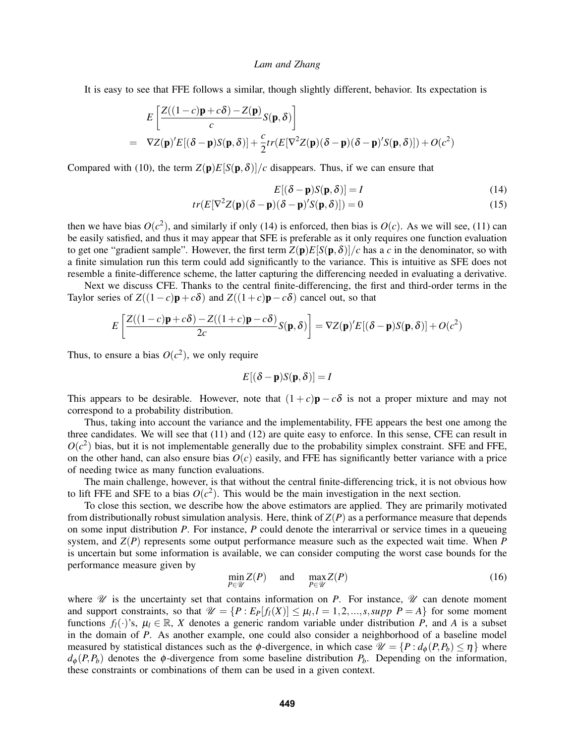It is easy to see that FFE follows a similar, though slightly different, behavior. Its expectation is

$$
E\left[\frac{Z((1-c)\mathbf{p}+c\delta)-Z(\mathbf{p})}{c}S(\mathbf{p},\delta)\right]
$$
  
=  $\nabla Z(\mathbf{p})'E[(\delta-\mathbf{p})S(\mathbf{p},\delta)]+\frac{c}{2}tr(E[\nabla^2 Z(\mathbf{p})(\delta-\mathbf{p})(\delta-\mathbf{p})'S(\mathbf{p},\delta)])+O(c^2)$ 

Compared with [\(10\)](#page-3-4), the term  $Z(p)E[S(p,\delta)]/c$  disappears. Thus, if we can ensure that

<span id="page-4-0"></span>
$$
E[(\delta - \mathbf{p})S(\mathbf{p}, \delta)] = I \tag{14}
$$

$$
tr(E[\nabla^2 Z(\mathbf{p})(\delta - \mathbf{p})(\delta - \mathbf{p})'S(\mathbf{p}, \delta)]) = 0
$$
\n(15)

then we have bias  $O(c^2)$ , and similarly if only [\(14\)](#page-4-0) is enforced, then bias is  $O(c)$ . As we will see, [\(11\)](#page-3-3) can be easily satisfied, and thus it may appear that SFE is preferable as it only requires one function evaluation to get one "gradient sample". However, the first term  $Z(p)E[S(p,\delta)]/c$  has a c in the denominator, so with a finite simulation run this term could add significantly to the variance. This is intuitive as SFE does not resemble a finite-difference scheme, the latter capturing the differencing needed in evaluating a derivative.

Next we discuss CFE. Thanks to the central finite-differencing, the first and third-order terms in the Taylor series of  $Z((1-c)\mathbf{p}+c\delta)$  and  $Z((1+c)\mathbf{p}-c\delta)$  cancel out, so that

$$
E\left[\frac{Z((1-c)\mathbf{p}+c\delta)-Z((1+c)\mathbf{p}-c\delta)}{2c}S(\mathbf{p},\delta)\right]=\nabla Z(\mathbf{p})'E[(\delta-\mathbf{p})S(\mathbf{p},\delta)]+O(c^2)
$$

Thus, to ensure a bias  $O(c^2)$ , we only require

$$
E[(\delta - \mathbf{p})S(\mathbf{p}, \delta)] = I
$$

This appears to be desirable. However, note that  $(1+c)\mathbf{p} - c\delta$  is not a proper mixture and may not correspond to a probability distribution.

Thus, taking into account the variance and the implementability, FFE appears the best one among the three candidates. We will see that [\(11\)](#page-3-3) and [\(12\)](#page-3-3) are quite easy to enforce. In this sense, CFE can result in  $O(c^2)$  bias, but it is not implementable generally due to the probability simplex constraint. SFE and FFE, on the other hand, can also ensure bias  $O(c)$  easily, and FFE has significantly better variance with a price of needing twice as many function evaluations.

The main challenge, however, is that without the central finite-differencing trick, it is not obvious how to lift FFE and SFE to a bias  $O(c^2)$ . This would be the main investigation in the next section.

To close this section, we describe how the above estimators are applied. They are primarily motivated from distributionally robust simulation analysis. Here, think of  $Z(P)$  as a performance measure that depends on some input distribution *P*. For instance, *P* could denote the interarrival or service times in a queueing system, and *Z*(*P*) represents some output performance measure such as the expected wait time. When *P* is uncertain but some information is available, we can consider computing the worst case bounds for the performance measure given by

<span id="page-4-1"></span>
$$
\min_{P \in \mathcal{U}} Z(P) \quad \text{and} \quad \max_{P \in \mathcal{U}} Z(P) \tag{16}
$$

where  $\mathcal U$  is the uncertainty set that contains information on *P*. For instance,  $\mathcal U$  can denote moment and support constraints, so that  $\mathcal{U} = \{P : E_P[f_l(X)] \leq \mu_l, l = 1, 2, ..., s, supp \ P = A\}$  for some moment functions  $f_l(\cdot)$ 's,  $\mu_l \in \mathbb{R}$ , *X* denotes a generic random variable under distribution *P*, and *A* is a subset in the domain of *P*. As another example, one could also consider a neighborhood of a baseline model measured by statistical distances such as the  $\phi$ -divergence, in which case  $\mathcal{U} = \{P : d_{\phi}(P, P_b) \leq \eta\}$  where  $d_{\phi}(P, P_b)$  denotes the  $\phi$ -divergence from some baseline distribution  $P_b$ . Depending on the information, these constraints or combinations of them can be used in a given context.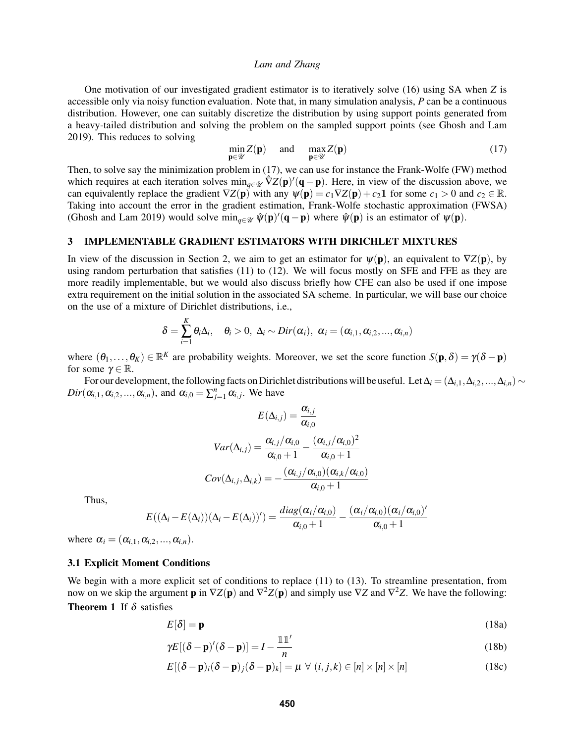One motivation of our investigated gradient estimator is to iteratively solve [\(16\)](#page-4-1) using SA when *Z* is accessible only via noisy function evaluation. Note that, in many simulation analysis, *P* can be a continuous distribution. However, one can suitably discretize the distribution by using support points generated from a heavy-tailed distribution and solving the problem on the sampled support points (see [Ghosh and Lam](#page-11-17) [2019\)](#page-11-17). This reduces to solving

<span id="page-5-0"></span>
$$
\min_{\mathbf{p}\in\mathscr{U}}Z(\mathbf{p})\quad\text{and}\quad\max_{\mathbf{p}\in\mathscr{U}}Z(\mathbf{p})\tag{17}
$$

Then, to solve say the minimization problem in [\(17\)](#page-5-0), we can use for instance the Frank-Wolfe (FW) method which requires at each iteration solves  $\min_{q \in \mathcal{U}} \hat{\nabla}Z(\mathbf{p})'(\mathbf{q}-\mathbf{p})$ . Here, in view of the discussion above, we can equivalently replace the gradient  $\nabla Z(\mathbf{p})$  with any  $\psi(\mathbf{p}) = c_1 \nabla Z(\mathbf{p}) + c_2 \mathbb{1}$  for some  $c_1 > 0$  and  $c_2 \in \mathbb{R}$ . Taking into account the error in the gradient estimation, Frank-Wolfe stochastic approximation (FWSA) [\(Ghosh and Lam 2019\)](#page-11-17) would solve  $\min_{q \in \mathcal{U}} \hat{\psi}(\mathbf{p})'(\mathbf{q}-\mathbf{p})$  where  $\hat{\psi}(\mathbf{p})$  is an estimator of  $\psi(\mathbf{p})$ .

## 3 IMPLEMENTABLE GRADIENT ESTIMATORS WITH DIRICHLET MIXTURES

In view of the discussion in Section [2,](#page-2-5) we aim to get an estimator for  $\psi(\mathbf{p})$ , an equivalent to  $\nabla Z(\mathbf{p})$ , by using random perturbation that satisfies [\(11\)](#page-3-3) to [\(12\)](#page-3-3). We will focus mostly on SFE and FFE as they are more readily implementable, but we would also discuss briefly how CFE can also be used if one impose extra requirement on the initial solution in the associated SA scheme. In particular, we will base our choice on the use of a mixture of Dirichlet distributions, i.e.,

$$
\delta = \sum_{i=1}^K \theta_i \Delta_i, \quad \theta_i > 0, \ \Delta_i \sim Dir(\alpha_i), \ \alpha_i = (\alpha_{i,1}, \alpha_{i,2}, ..., \alpha_{i,n})
$$

where  $(\theta_1,\ldots,\theta_K) \in \mathbb{R}^K$  are probability weights. Moreover, we set the score function  $S(\mathbf{p},\delta) = \gamma(\delta - \mathbf{p})$ for some  $\gamma \in \mathbb{R}$ .

For our development, the following facts on Dirichlet distributions will be useful. Let  $\Delta_i = (\Delta_{i,1}, \Delta_{i,2}, ..., \Delta_{i,n}) \sim$  $Dir(\alpha_{i,1}, \alpha_{i,2},..., \alpha_{i,n})$ , and  $\alpha_{i,0} = \sum_{j=1}^{n} \alpha_{i,j}$ . We have

$$
E(\Delta_{i,j}) = \frac{\alpha_{i,j}}{\alpha_{i,0}}
$$

$$
Var(\Delta_{i,j}) = \frac{\alpha_{i,j}/\alpha_{i,0}}{\alpha_{i,0}+1} - \frac{(\alpha_{i,j}/\alpha_{i,0})^2}{\alpha_{i,0}+1}
$$

$$
Cov(\Delta_{i,j}, \Delta_{i,k}) = -\frac{(\alpha_{i,j}/\alpha_{i,0})(\alpha_{i,k}/\alpha_{i,0})}{\alpha_{i,0}+1}
$$

Thus,

$$
E((\Delta_i - E(\Delta_i))(\Delta_i - E(\Delta_i))') = \frac{diag(\alpha_i/\alpha_{i,0})}{\alpha_{i,0}+1} - \frac{(\alpha_i/\alpha_{i,0})(\alpha_i/\alpha_{i,0})'}{\alpha_{i,0}+1}
$$

where  $\alpha_i = (\alpha_{i,1}, \alpha_{i,2}, \ldots, \alpha_{i,n}).$ 

## 3.1 Explicit Moment Conditions

We begin with a more explicit set of conditions to replace [\(11\)](#page-3-3) to [\(13\)](#page-3-3). To streamline presentation, from now on we skip the argument **p** in  $\nabla Z(\mathbf{p})$  and  $\nabla^2 Z(\mathbf{p})$  and simply use  $\nabla Z$  and  $\nabla^2 Z$ . We have the following: **Theorem 1** If  $\delta$  satisfies

$$
E[\delta] = \mathbf{p} \tag{18a}
$$

<span id="page-5-1"></span>
$$
\gamma E[(\delta - \mathbf{p})'(\delta - \mathbf{p})] = I - \frac{\mathbb{1}\mathbb{1}'}{n}
$$
\n(18b)

$$
E[(\delta - \mathbf{p})_i(\delta - \mathbf{p})_j(\delta - \mathbf{p})_k] = \mu \ \forall \ (i, j, k) \in [n] \times [n] \times [n]
$$
 (18c)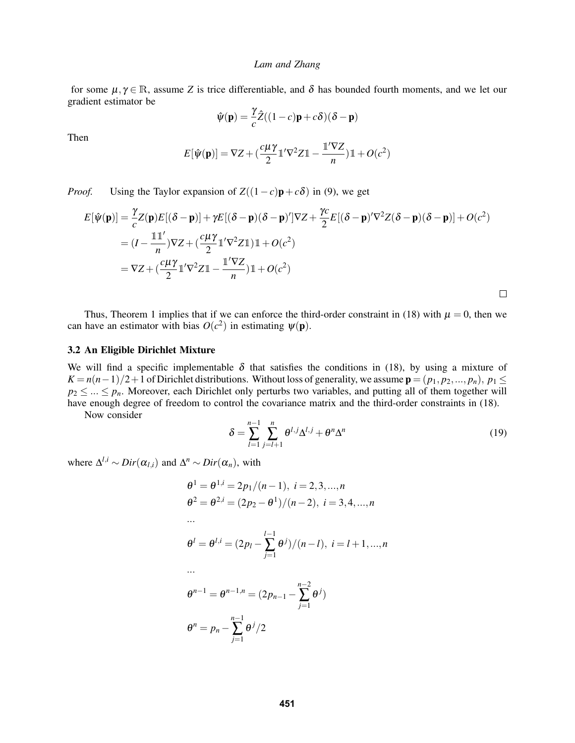for some  $\mu, \gamma \in \mathbb{R}$ , assume *Z* is trice differentiable, and  $\delta$  has bounded fourth moments, and we let our gradient estimator be

$$
\hat{\psi}(\mathbf{p}) = \frac{\gamma}{c}\hat{Z}((1-c)\mathbf{p} + c\delta)(\delta - \mathbf{p})
$$

Then

$$
E[\hat{\psi}(\mathbf{p})] = \nabla Z + \left(\frac{c\mu\gamma}{2} \mathbb{1}'\nabla^2 Z \mathbb{1} - \frac{\mathbb{1}'\nabla Z}{n}\right) \mathbb{1} + O(c^2)
$$

*Proof.* Using the Taylor expansion of  $Z((1-c)\mathbf{p}+c\delta)$  in [\(9\)](#page-3-5), we get

$$
E[\hat{\psi}(\mathbf{p})] = \frac{\gamma}{c} Z(\mathbf{p}) E[(\delta - \mathbf{p})] + \gamma E[(\delta - \mathbf{p})(\delta - \mathbf{p})']\nabla Z + \frac{\gamma c}{2} E[(\delta - \mathbf{p})'\nabla^2 Z(\delta - \mathbf{p})(\delta - \mathbf{p})] + O(c^2)
$$
  
=  $(I - \frac{\mathbb{I} \mathbb{I}'}{n})\nabla Z + (\frac{c\mu\gamma}{2} \mathbb{I}'\nabla^2 Z \mathbb{I}) \mathbb{I} + O(c^2)$   
=  $\nabla Z + (\frac{c\mu\gamma}{2} \mathbb{I}'\nabla^2 Z \mathbb{I} - \frac{\mathbb{I}'\nabla Z}{n}) \mathbb{I} + O(c^2)$ 

 $\Box$ 

Thus, Theorem [1](#page-5-1) implies that if we can enforce the third-order constraint in [\(18\)](#page-5-1) with  $\mu = 0$ , then we can have an estimator with bias  $O(c^2)$  in estimating  $\psi(\mathbf{p})$ .

### 3.2 An Eligible Dirichlet Mixture

We will find a specific implementable  $\delta$  that satisfies the conditions in [\(18\)](#page-5-1), by using a mixture of  $K = n(n-1)/2+1$  of Dirichlet distributions. Without loss of generality, we assume  $\mathbf{p} = (p_1, p_2, ..., p_n), p_1 \leq$  $p_2 \leq ... \leq p_n$ . Moreover, each Dirichlet only perturbs two variables, and putting all of them together will have enough degree of freedom to control the covariance matrix and the third-order constraints in [\(18\)](#page-5-1).

Now consider

<span id="page-6-0"></span>
$$
\delta = \sum_{l=1}^{n-1} \sum_{j=l+1}^{n} \theta^{l,j} \Delta^{l,j} + \theta^n \Delta^n \tag{19}
$$

where  $\Delta^{l,i} \sim Dir(\alpha_{l,i})$  and  $\Delta^n \sim Dir(\alpha_n)$ , with

$$
\theta^{1} = \theta^{1,i} = 2p_1/(n-1), i = 2, 3, ..., n
$$
  
\n
$$
\theta^{2} = \theta^{2,i} = (2p_2 - \theta^{1})/(n-2), i = 3, 4, ..., n
$$
  
\n...\n
$$
\theta^{l} = \theta^{l,i} = (2p_l - \sum_{j=1}^{l-1} \theta^{j})/(n-l), i = l+1, ..., n
$$
  
\n...\n
$$
\theta^{n-1} = \theta^{n-1,n} = (2p_{n-1} - \sum_{j=1}^{n-2} \theta^{j})
$$
  
\n
$$
\theta^{n} = p_n - \sum_{j=1}^{n-1} \theta^{j}/2
$$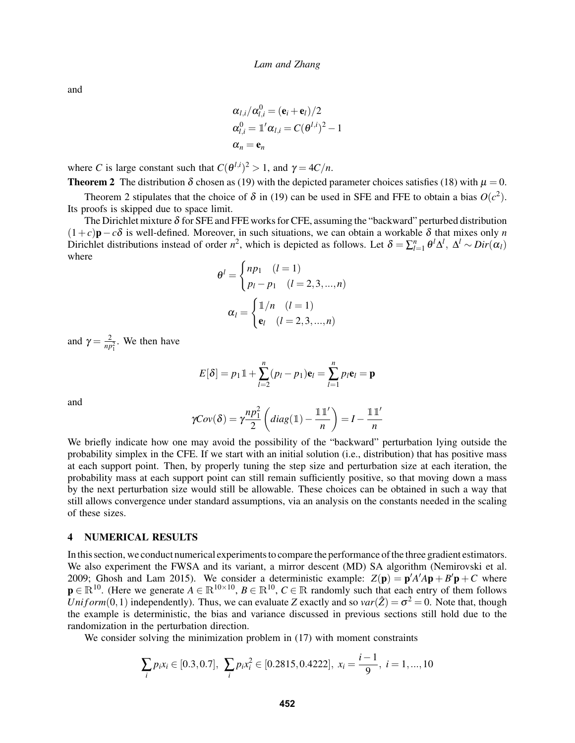and

$$
\alpha_{l,i}/\alpha_{l,i}^0 = (\mathbf{e}_i + \mathbf{e}_l)/2
$$
  
\n
$$
\alpha_{l,i}^0 = \mathbb{1}' \alpha_{l,i} = C(\theta^{l,i})^2 - 1
$$
  
\n
$$
\alpha_n = \mathbf{e}_n
$$

where *C* is large constant such that  $C(\theta^{l,i})^2 > 1$ , and  $\gamma = 4C/n$ .

<span id="page-7-0"></span>**Theorem 2** The distribution  $\delta$  chosen as [\(19\)](#page-6-0) with the depicted parameter choices satisfies [\(18\)](#page-5-1) with  $\mu = 0$ .

Theorem [2](#page-7-0) stipulates that the choice of  $\delta$  in [\(19\)](#page-6-0) can be used in SFE and FFE to obtain a bias  $O(c^2)$ . Its proofs is skipped due to space limit.

The Dirichlet mixture  $\delta$  for SFE and FFE works for CFE, assuming the "backward" perturbed distribution  $(1+c)\mathbf{p}-c\delta$  is well-defined. Moreover, in such situations, we can obtain a workable  $\delta$  that mixes only *n* Dirichlet distributions instead of order *n*<sup>2</sup>, which is depicted as follows. Let  $\delta = \sum_{l=1}^{n} \theta^l \Delta^l$ ,  $\Delta^l \sim Dir(\alpha_l)$ where

$$
\theta^{l} = \begin{cases} np_1 & (l = 1) \\ p_l - p_1 & (l = 2, 3, ..., n) \end{cases}
$$

$$
\alpha_l = \begin{cases} \frac{1}{n} & (l = 1) \\ e_l & (l = 2, 3, ..., n) \end{cases}
$$

and  $\gamma = \frac{2}{np_1^2}$ . We then have

$$
E[\delta] = p_1 \mathbb{1} + \sum_{l=2}^{n} (p_l - p_1) \mathbf{e}_l = \sum_{l=1}^{n} p_l \mathbf{e}_l = \mathbf{p}
$$

and

$$
\gamma Cov(\delta) = \gamma \frac{np_1^2}{2} \left( diag(\mathbb{1}) - \frac{\mathbb{1}\mathbb{1}'}{n} \right) = I - \frac{\mathbb{1}\mathbb{1}'}{n}
$$

We briefly indicate how one may avoid the possibility of the "backward" perturbation lying outside the probability simplex in the CFE. If we start with an initial solution (i.e., distribution) that has positive mass at each support point. Then, by properly tuning the step size and perturbation size at each iteration, the probability mass at each support point can still remain sufficiently positive, so that moving down a mass by the next perturbation size would still be allowable. These choices can be obtained in such a way that still allows convergence under standard assumptions, via an analysis on the constants needed in the scaling of these sizes.

### 4 NUMERICAL RESULTS

In this section, we conduct numerical experiments to compare the performance of the three gradient estimators. We also experiment the FWSA and its variant, a mirror descent (MD) SA algorithm [\(Nemirovski et al.](#page-11-21) [2009;](#page-11-21) [Ghosh and Lam 2015\)](#page-11-18). We consider a deterministic example:  $Z(\mathbf{p}) = \mathbf{p}'A'A\mathbf{p} + B'\mathbf{p} + C$  where  $p \in \mathbb{R}^{10}$ . (Here we generate  $A \in \mathbb{R}^{10 \times 10}$ ,  $B \in \mathbb{R}^{10}$ ,  $C \in \mathbb{R}$  randomly such that each entry of them follows *Uniform*(0,1) independently). Thus, we can evaluate *Z* exactly and so  $var(\hat{Z}) = \sigma^2 = 0$ . Note that, though the example is deterministic, the bias and variance discussed in previous sections still hold due to the randomization in the perturbation direction.

We consider solving the minimization problem in  $(17)$  with moment constraints

$$
\sum_{i} p_i x_i \in [0.3, 0.7], \ \sum_{i} p_i x_i^2 \in [0.2815, 0.4222], \ x_i = \frac{i-1}{9}, \ i = 1, ..., 10
$$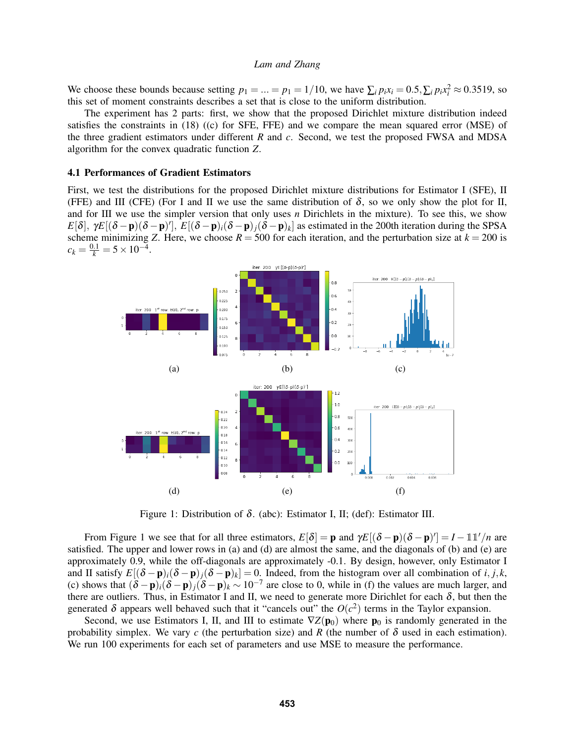We choose these bounds because setting  $p_1 = ... = p_1 = 1/10$ , we have  $\sum_i p_i x_i = 0.5$ ,  $\sum_i p_i x_i^2 \approx 0.3519$ , so this set of moment constraints describes a set that is close to the uniform distribution.

The experiment has 2 parts: first, we show that the proposed Dirichlet mixture distribution indeed satisfies the constraints in [\(18\)](#page-5-1) ((c) for SFE, FFE) and we compare the mean squared error (MSE) of the three gradient estimators under different *R* and *c*. Second, we test the proposed FWSA and MDSA algorithm for the convex quadratic function *Z*.

## 4.1 Performances of Gradient Estimators

First, we test the distributions for the proposed Dirichlet mixture distributions for Estimator I (SFE), II (FFE) and III (CFE) (For I and II we use the same distribution of  $\delta$ , so we only show the plot for II, and for III we use the simpler version that only uses *n* Dirichlets in the mixture). To see this, we show  $E[\delta], \gamma E[(\delta - \mathbf{p})(\delta - \mathbf{p})']$ ,  $E[(\delta - \mathbf{p})_i(\delta - \mathbf{p})_j(\delta - \mathbf{p})_k]$  as estimated in the 200th iteration during the SPSA scheme minimizing *Z*. Here, we choose  $R = 500$  for each iteration, and the perturbation size at  $k = 200$  is  $c_k = \frac{0.1}{k} = 5 \times 10^{-4}.$ 

<span id="page-8-0"></span>

Figure 1: Distribution of  $\delta$ . (abc): Estimator I, II; (def): Estimator III.

From Figure [1](#page-8-0) we see that for all three estimators,  $E[\delta] = \mathbf{p}$  and  $\gamma E[(\delta - \mathbf{p})(\delta - \mathbf{p})'] = I - \mathbb{1}\mathbb{1}'/n$  are satisfied. The upper and lower rows in (a) and (d) are almost the same, and the diagonals of (b) and (e) are approximately 0.9, while the off-diagonals are approximately -0.1. By design, however, only Estimator I and II satisfy  $E[(\delta - \mathbf{p})_i(\delta - \mathbf{p})_j(\delta - \mathbf{p})_k] = 0$ . Indeed, from the histogram over all combination of *i*, *j*, *k*, (c) shows that  $(\delta - \mathbf{p})_i(\delta - \mathbf{p})_j(\delta - \mathbf{p})_k \sim 10^{-7}$  are close to 0, while in (f) the values are much larger, and there are outliers. Thus, in Estimator I and II, we need to generate more Dirichlet for each  $\delta$ , but then the generated  $\delta$  appears well behaved such that it "cancels out" the  $O(c^2)$  terms in the Taylor expansion.

Second, we use Estimators I, II, and III to estimate  $\nabla Z(\mathbf{p}_0)$  where  $\mathbf{p}_0$  is randomly generated in the probability simplex. We vary *c* (the perturbation size) and *R* (the number of  $\delta$  used in each estimation). We run 100 experiments for each set of parameters and use MSE to measure the performance.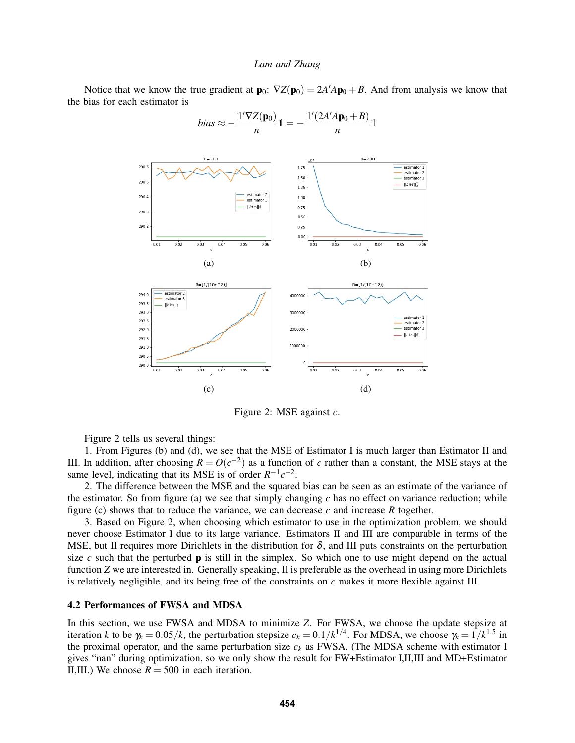<span id="page-9-0"></span>Notice that we know the true gradient at  $\mathbf{p}_0$ :  $\nabla Z(\mathbf{p}_0) = 2A'A\mathbf{p}_0 + B$ . And from analysis we know that the bias for each estimator is



$$
bias \approx -\frac{\mathbb{1}'\nabla Z(\mathbf{p}_0)}{n}\mathbb{1} = -\frac{\mathbb{1}'(2A'A\mathbf{p}_0 + B)}{n}\mathbb{1}
$$

Figure 2: MSE against *c*.

Figure [2](#page-9-0) tells us several things:

1. From Figures (b) and (d), we see that the MSE of Estimator I is much larger than Estimator II and III. In addition, after choosing  $R = O(c^{-2})$  as a function of *c* rather than a constant, the MSE stays at the same level, indicating that its MSE is of order  $R^{-1}c^{-2}$ .

2. The difference between the MSE and the squared bias can be seen as an estimate of the variance of the estimator. So from figure (a) we see that simply changing  $c$  has no effect on variance reduction; while figure (c) shows that to reduce the variance, we can decrease *c* and increase *R* together.

3. Based on Figure [2,](#page-9-0) when choosing which estimator to use in the optimization problem, we should never choose Estimator I due to its large variance. Estimators II and III are comparable in terms of the MSE, but II requires more Dirichlets in the distribution for  $\delta$ , and III puts constraints on the perturbation size  $c$  such that the perturbed  $\bf{p}$  is still in the simplex. So which one to use might depend on the actual function *Z* we are interested in. Generally speaking, II is preferable as the overhead in using more Dirichlets is relatively negligible, and its being free of the constraints on *c* makes it more flexible against III.

### 4.2 Performances of FWSA and MDSA

In this section, we use FWSA and MDSA to minimize *Z*. For FWSA, we choose the update stepsize at iteration *k* to be  $\gamma_k = 0.05/k$ , the perturbation stepsize  $c_k = 0.1/k^{1/4}$ . For MDSA, we choose  $\gamma_k = 1/k^{1.5}$  in the proximal operator, and the same perturbation size  $c_k$  as FWSA. (The MDSA scheme with estimator I gives "nan" during optimization, so we only show the result for FW+Estimator I,II,III and MD+Estimator II,III.) We choose  $R = 500$  in each iteration.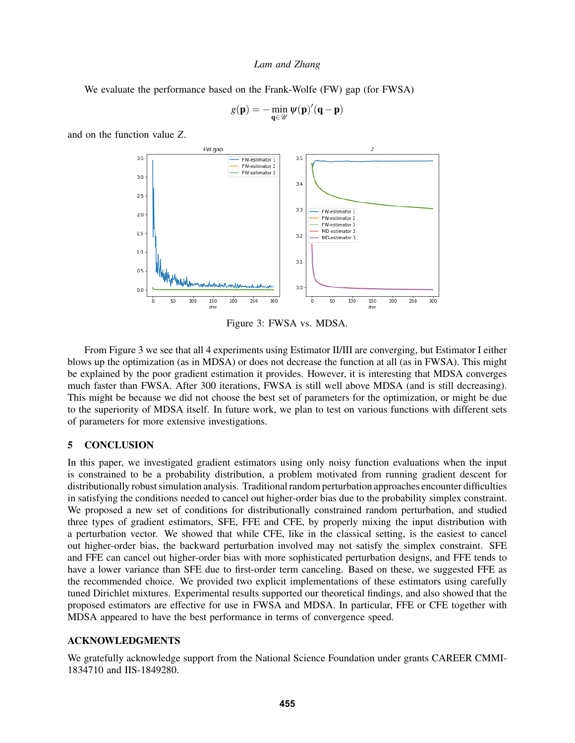We evaluate the performance based on the Frank-Wolfe (FW) gap (for FWSA)

$$
g(\mathbf{p})=-\min_{\mathbf{q}\in\mathscr{U}}\psi(\mathbf{p})'(\mathbf{q}-\mathbf{p})
$$

<span id="page-10-0"></span>and on the function value *Z*.



Figure 3: FWSA vs. MDSA.

From Figure [3](#page-10-0) we see that all 4 experiments using Estimator II/III are converging, but Estimator I either blows up the optimization (as in MDSA) or does not decrease the function at all (as in FWSA). This might be explained by the poor gradient estimation it provides. However, it is interesting that MDSA converges much faster than FWSA. After 300 iterations, FWSA is still well above MDSA (and is still decreasing). This might be because we did not choose the best set of parameters for the optimization, or might be due to the superiority of MDSA itself. In future work, we plan to test on various functions with different sets of parameters for more extensive investigations.

## 5 CONCLUSION

In this paper, we investigated gradient estimators using only noisy function evaluations when the input is constrained to be a probability distribution, a problem motivated from running gradient descent for distributionally robust simulation analysis. Traditional random perturbation approaches encounter difficulties in satisfying the conditions needed to cancel out higher-order bias due to the probability simplex constraint. We proposed a new set of conditions for distributionally constrained random perturbation, and studied three types of gradient estimators, SFE, FFE and CFE, by properly mixing the input distribution with a perturbation vector. We showed that while CFE, like in the classical setting, is the easiest to cancel out higher-order bias, the backward perturbation involved may not satisfy the simplex constraint. SFE and FFE can cancel out higher-order bias with more sophisticated perturbation designs, and FFE tends to have a lower variance than SFE due to first-order term canceling. Based on these, we suggested FFE as the recommended choice. We provided two explicit implementations of these estimators using carefully tuned Dirichlet mixtures. Experimental results supported our theoretical findings, and also showed that the proposed estimators are effective for use in FWSA and MDSA. In particular, FFE or CFE together with MDSA appeared to have the best performance in terms of convergence speed.

### ACKNOWLEDGMENTS

We gratefully acknowledge support from the National Science Foundation under grants CAREER CMMI-1834710 and IIS-1849280.